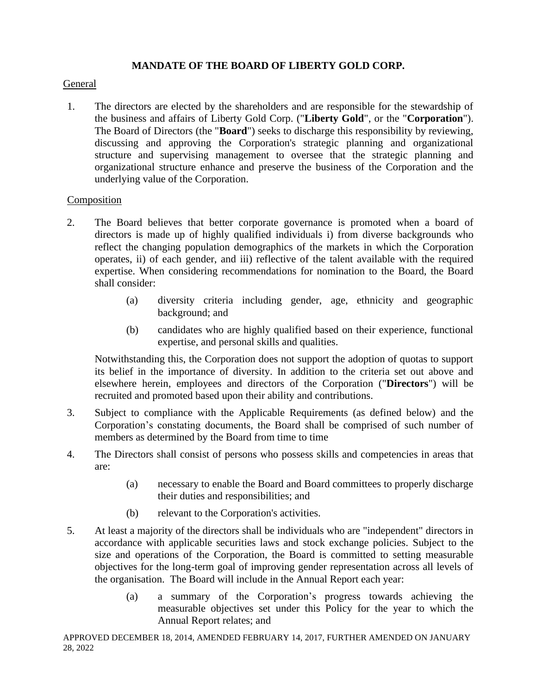## **MANDATE OF THE BOARD OF LIBERTY GOLD CORP.**

### General

1. The directors are elected by the shareholders and are responsible for the stewardship of the business and affairs of Liberty Gold Corp. ("**Liberty Gold**", or the "**Corporation**"). The Board of Directors (the "**Board**") seeks to discharge this responsibility by reviewing, discussing and approving the Corporation's strategic planning and organizational structure and supervising management to oversee that the strategic planning and organizational structure enhance and preserve the business of the Corporation and the underlying value of the Corporation.

## Composition

- 2. The Board believes that better corporate governance is promoted when a board of directors is made up of highly qualified individuals i) from diverse backgrounds who reflect the changing population demographics of the markets in which the Corporation operates, ii) of each gender, and iii) reflective of the talent available with the required expertise. When considering recommendations for nomination to the Board, the Board shall consider:
	- (a) diversity criteria including gender, age, ethnicity and geographic background; and
	- (b) candidates who are highly qualified based on their experience, functional expertise, and personal skills and qualities.

Notwithstanding this, the Corporation does not support the adoption of quotas to support its belief in the importance of diversity. In addition to the criteria set out above and elsewhere herein, employees and directors of the Corporation ("**Directors**") will be recruited and promoted based upon their ability and contributions.

- 3. Subject to compliance with the Applicable Requirements (as defined below) and the Corporation's constating documents, the Board shall be comprised of such number of members as determined by the Board from time to time
- 4. The Directors shall consist of persons who possess skills and competencies in areas that are:
	- (a) necessary to enable the Board and Board committees to properly discharge their duties and responsibilities; and
	- (b) relevant to the Corporation's activities.
- 5. At least a majority of the directors shall be individuals who are "independent" directors in accordance with applicable securities laws and stock exchange policies. Subject to the size and operations of the Corporation, the Board is committed to setting measurable objectives for the long-term goal of improving gender representation across all levels of the organisation. The Board will include in the Annual Report each year:
	- (a) a summary of the Corporation's progress towards achieving the measurable objectives set under this Policy for the year to which the Annual Report relates; and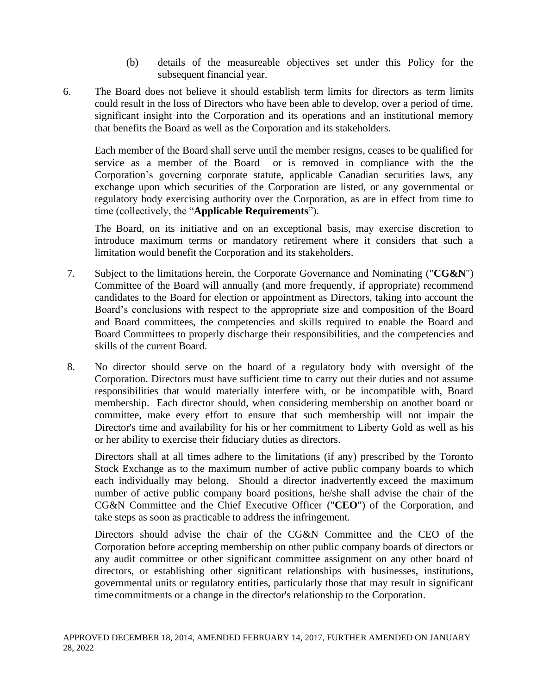- (b) details of the measureable objectives set under this Policy for the subsequent financial year.
- 6. The Board does not believe it should establish term limits for directors as term limits could result in the loss of Directors who have been able to develop, over a period of time, significant insight into the Corporation and its operations and an institutional memory that benefits the Board as well as the Corporation and its stakeholders.

Each member of the Board shall serve until the member resigns, ceases to be qualified for service as a member of the Board or is removed in compliance with the the Corporation's governing corporate statute, applicable Canadian securities laws, any exchange upon which securities of the Corporation are listed, or any governmental or regulatory body exercising authority over the Corporation, as are in effect from time to time (collectively, the "**Applicable Requirements**").

The Board, on its initiative and on an exceptional basis, may exercise discretion to introduce maximum terms or mandatory retirement where it considers that such a limitation would benefit the Corporation and its stakeholders.

- 7. Subject to the limitations herein, the Corporate Governance and Nominating ("**CG&N**") Committee of the Board will annually (and more frequently, if appropriate) recommend candidates to the Board for election or appointment as Directors, taking into account the Board's conclusions with respect to the appropriate size and composition of the Board and Board committees, the competencies and skills required to enable the Board and Board Committees to properly discharge their responsibilities, and the competencies and skills of the current Board.
- 8. No director should serve on the board of a regulatory body with oversight of the Corporation. Directors must have sufficient time to carry out their duties and not assume responsibilities that would materially interfere with, or be incompatible with, Board membership. Each director should, when considering membership on another board or committee, make every effort to ensure that such membership will not impair the Director's time and availability for his or her commitment to Liberty Gold as well as his or her ability to exercise their fiduciary duties as directors.

Directors shall at all times adhere to the limitations (if any) prescribed by the Toronto Stock Exchange as to the maximum number of active public company boards to which each individually may belong. Should a director inadvertently exceed the maximum number of active public company board positions, he/she shall advise the chair of the CG&N Committee and the Chief Executive Officer ("**CEO**") of the Corporation, and take steps as soon as practicable to address the infringement.

Directors should advise the chair of the CG&N Committee and the CEO of the Corporation before accepting membership on other public company boards of directors or any audit committee or other significant committee assignment on any other board of directors, or establishing other significant relationships with businesses, institutions, governmental units or regulatory entities, particularly those that may result in significant time commitments or a change in the director's relationship to the Corporation.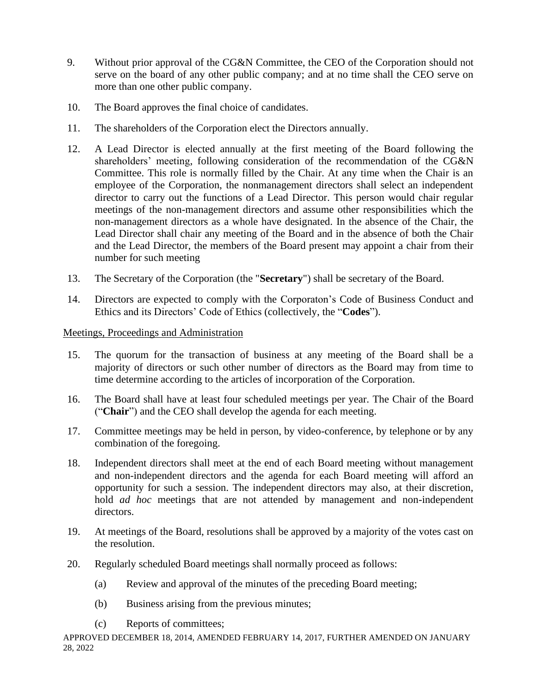- 9. Without prior approval of the CG&N Committee, the CEO of the Corporation should not serve on the board of any other public company; and at no time shall the CEO serve on more than one other public company.
- 10. The Board approves the final choice of candidates.
- 11. The shareholders of the Corporation elect the Directors annually.
- 12. A Lead Director is elected annually at the first meeting of the Board following the shareholders' meeting, following consideration of the recommendation of the CG&N Committee. This role is normally filled by the Chair. At any time when the Chair is an employee of the Corporation, the nonmanagement directors shall select an independent director to carry out the functions of a Lead Director. This person would chair regular meetings of the non-management directors and assume other responsibilities which the non-management directors as a whole have designated. In the absence of the Chair, the Lead Director shall chair any meeting of the Board and in the absence of both the Chair and the Lead Director, the members of the Board present may appoint a chair from their number for such meeting
- 13. The Secretary of the Corporation (the "**Secretary**") shall be secretary of the Board.
- 14. Directors are expected to comply with the Corporaton's Code of Business Conduct and Ethics and its Directors' Code of Ethics (collectively, the "**Codes**").

# Meetings, Proceedings and Administration

- 15. The quorum for the transaction of business at any meeting of the Board shall be a majority of directors or such other number of directors as the Board may from time to time determine according to the articles of incorporation of the Corporation.
- 16. The Board shall have at least four scheduled meetings per year. The Chair of the Board ("**Chair**") and the CEO shall develop the agenda for each meeting.
- 17. Committee meetings may be held in person, by video-conference, by telephone or by any combination of the foregoing.
- 18. Independent directors shall meet at the end of each Board meeting without management and non-independent directors and the agenda for each Board meeting will afford an opportunity for such a session. The independent directors may also, at their discretion, hold *ad hoc* meetings that are not attended by management and non-independent directors.
- 19. At meetings of the Board, resolutions shall be approved by a majority of the votes cast on the resolution.
- 20. Regularly scheduled Board meetings shall normally proceed as follows:
	- (a) Review and approval of the minutes of the preceding Board meeting;
	- (b) Business arising from the previous minutes;
	- (c) Reports of committees;

APPROVED DECEMBER 18, 2014, AMENDED FEBRUARY 14, 2017, FURTHER AMENDED ON JANUARY 28, 2022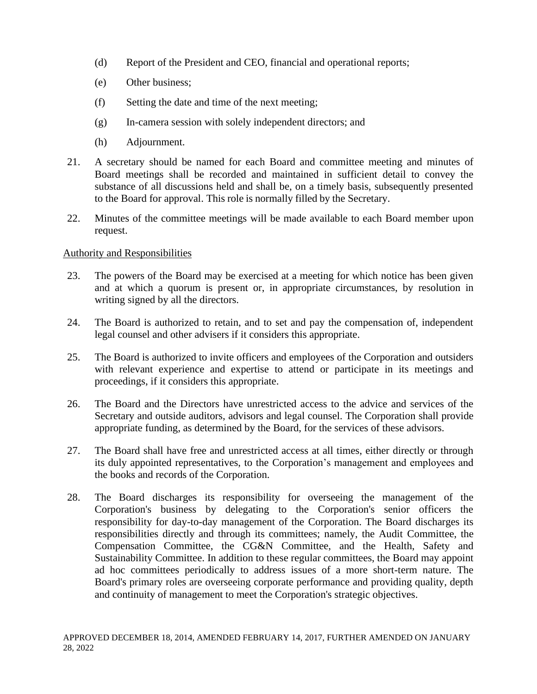- (d) Report of the President and CEO, financial and operational reports;
- (e) Other business;
- (f) Setting the date and time of the next meeting;
- (g) In-camera session with solely independent directors; and
- (h) Adjournment.
- 21. A secretary should be named for each Board and committee meeting and minutes of Board meetings shall be recorded and maintained in sufficient detail to convey the substance of all discussions held and shall be, on a timely basis, subsequently presented to the Board for approval. This role is normally filled by the Secretary.
- 22. Minutes of the committee meetings will be made available to each Board member upon request.

## Authority and Responsibilities

- 23. The powers of the Board may be exercised at a meeting for which notice has been given and at which a quorum is present or, in appropriate circumstances, by resolution in writing signed by all the directors.
- 24. The Board is authorized to retain, and to set and pay the compensation of, independent legal counsel and other advisers if it considers this appropriate.
- 25. The Board is authorized to invite officers and employees of the Corporation and outsiders with relevant experience and expertise to attend or participate in its meetings and proceedings, if it considers this appropriate.
- 26. The Board and the Directors have unrestricted access to the advice and services of the Secretary and outside auditors, advisors and legal counsel. The Corporation shall provide appropriate funding, as determined by the Board, for the services of these advisors.
- 27. The Board shall have free and unrestricted access at all times, either directly or through its duly appointed representatives, to the Corporation's management and employees and the books and records of the Corporation.
- 28. The Board discharges its responsibility for overseeing the management of the Corporation's business by delegating to the Corporation's senior officers the responsibility for day-to-day management of the Corporation. The Board discharges its responsibilities directly and through its committees; namely, the Audit Committee, the Compensation Committee, the CG&N Committee, and the Health, Safety and Sustainability Committee. In addition to these regular committees, the Board may appoint ad hoc committees periodically to address issues of a more short-term nature. The Board's primary roles are overseeing corporate performance and providing quality, depth and continuity of management to meet the Corporation's strategic objectives.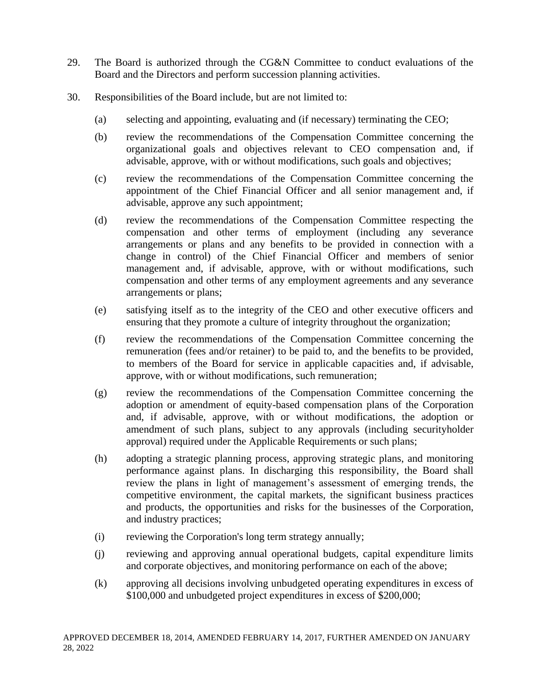- 29. The Board is authorized through the CG&N Committee to conduct evaluations of the Board and the Directors and perform succession planning activities.
- 30. Responsibilities of the Board include, but are not limited to:
	- (a) selecting and appointing, evaluating and (if necessary) terminating the CEO;
	- (b) review the recommendations of the Compensation Committee concerning the organizational goals and objectives relevant to CEO compensation and, if advisable, approve, with or without modifications, such goals and objectives;
	- (c) review the recommendations of the Compensation Committee concerning the appointment of the Chief Financial Officer and all senior management and, if advisable, approve any such appointment;
	- (d) review the recommendations of the Compensation Committee respecting the compensation and other terms of employment (including any severance arrangements or plans and any benefits to be provided in connection with a change in control) of the Chief Financial Officer and members of senior management and, if advisable, approve, with or without modifications, such compensation and other terms of any employment agreements and any severance arrangements or plans;
	- (e) satisfying itself as to the integrity of the CEO and other executive officers and ensuring that they promote a culture of integrity throughout the organization;
	- (f) review the recommendations of the Compensation Committee concerning the remuneration (fees and/or retainer) to be paid to, and the benefits to be provided, to members of the Board for service in applicable capacities and, if advisable, approve, with or without modifications, such remuneration;
	- (g) review the recommendations of the Compensation Committee concerning the adoption or amendment of equity-based compensation plans of the Corporation and, if advisable, approve, with or without modifications, the adoption or amendment of such plans, subject to any approvals (including securityholder approval) required under the Applicable Requirements or such plans;
	- (h) adopting a strategic planning process, approving strategic plans, and monitoring performance against plans. In discharging this responsibility, the Board shall review the plans in light of management's assessment of emerging trends, the competitive environment, the capital markets, the significant business practices and products, the opportunities and risks for the businesses of the Corporation, and industry practices;
	- (i) reviewing the Corporation's long term strategy annually;
	- (j) reviewing and approving annual operational budgets, capital expenditure limits and corporate objectives, and monitoring performance on each of the above;
	- (k) approving all decisions involving unbudgeted operating expenditures in excess of \$100,000 and unbudgeted project expenditures in excess of \$200,000;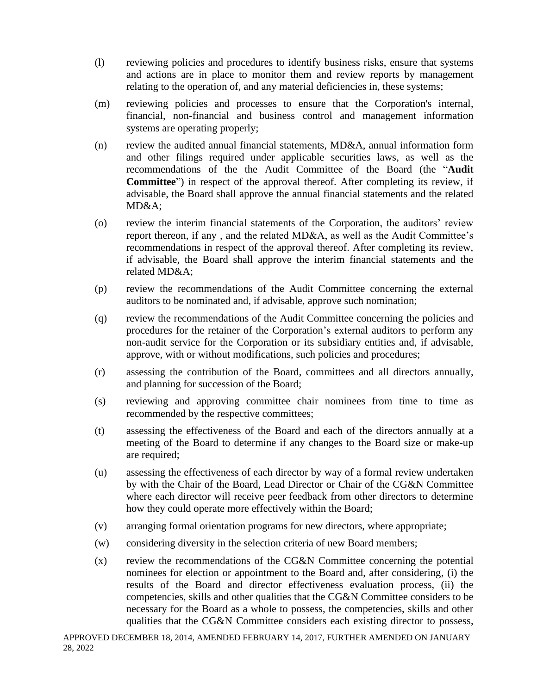- (l) reviewing policies and procedures to identify business risks, ensure that systems and actions are in place to monitor them and review reports by management relating to the operation of, and any material deficiencies in, these systems;
- (m) reviewing policies and processes to ensure that the Corporation's internal, financial, non-financial and business control and management information systems are operating properly;
- (n) review the audited annual financial statements, MD&A, annual information form and other filings required under applicable securities laws, as well as the recommendations of the the Audit Committee of the Board (the "**Audit Committee**") in respect of the approval thereof. After completing its review, if advisable, the Board shall approve the annual financial statements and the related MD&A;
- (o) review the interim financial statements of the Corporation, the auditors' review report thereon, if any , and the related MD&A, as well as the Audit Committee's recommendations in respect of the approval thereof. After completing its review, if advisable, the Board shall approve the interim financial statements and the related MD&A;
- (p) review the recommendations of the Audit Committee concerning the external auditors to be nominated and, if advisable, approve such nomination;
- (q) review the recommendations of the Audit Committee concerning the policies and procedures for the retainer of the Corporation's external auditors to perform any non-audit service for the Corporation or its subsidiary entities and, if advisable, approve, with or without modifications, such policies and procedures;
- (r) assessing the contribution of the Board, committees and all directors annually, and planning for succession of the Board;
- (s) reviewing and approving committee chair nominees from time to time as recommended by the respective committees;
- (t) assessing the effectiveness of the Board and each of the directors annually at a meeting of the Board to determine if any changes to the Board size or make-up are required;
- (u) assessing the effectiveness of each director by way of a formal review undertaken by with the Chair of the Board, Lead Director or Chair of the CG&N Committee where each director will receive peer feedback from other directors to determine how they could operate more effectively within the Board;
- (v) arranging formal orientation programs for new directors, where appropriate;
- (w) considering diversity in the selection criteria of new Board members;
- (x) review the recommendations of the CG&N Committee concerning the potential nominees for election or appointment to the Board and, after considering, (i) the results of the Board and director effectiveness evaluation process, (ii) the competencies, skills and other qualities that the CG&N Committee considers to be necessary for the Board as a whole to possess, the competencies, skills and other qualities that the CG&N Committee considers each existing director to possess,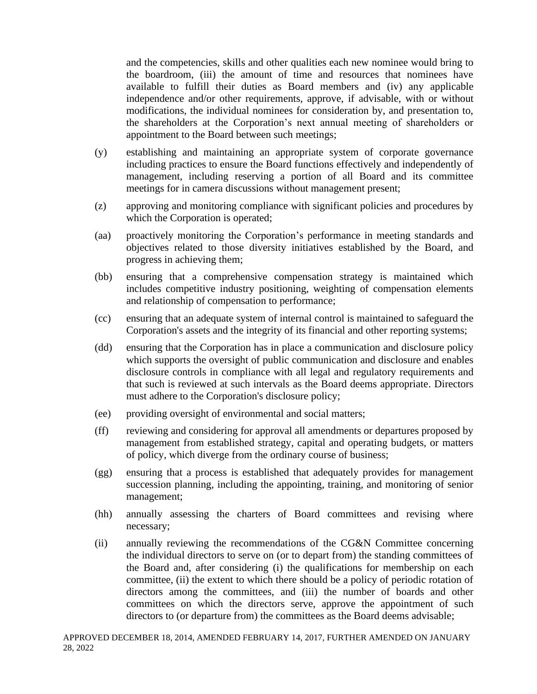and the competencies, skills and other qualities each new nominee would bring to the boardroom, (iii) the amount of time and resources that nominees have available to fulfill their duties as Board members and (iv) any applicable independence and/or other requirements, approve, if advisable, with or without modifications, the individual nominees for consideration by, and presentation to, the shareholders at the Corporation's next annual meeting of shareholders or appointment to the Board between such meetings;

- (y) establishing and maintaining an appropriate system of corporate governance including practices to ensure the Board functions effectively and independently of management, including reserving a portion of all Board and its committee meetings for in camera discussions without management present;
- (z) approving and monitoring compliance with significant policies and procedures by which the Corporation is operated;
- (aa) proactively monitoring the Corporation's performance in meeting standards and objectives related to those diversity initiatives established by the Board, and progress in achieving them;
- (bb) ensuring that a comprehensive compensation strategy is maintained which includes competitive industry positioning, weighting of compensation elements and relationship of compensation to performance;
- (cc) ensuring that an adequate system of internal control is maintained to safeguard the Corporation's assets and the integrity of its financial and other reporting systems;
- (dd) ensuring that the Corporation has in place a communication and disclosure policy which supports the oversight of public communication and disclosure and enables disclosure controls in compliance with all legal and regulatory requirements and that such is reviewed at such intervals as the Board deems appropriate. Directors must adhere to the Corporation's disclosure policy;
- (ee) providing oversight of environmental and social matters;
- (ff) reviewing and considering for approval all amendments or departures proposed by management from established strategy, capital and operating budgets, or matters of policy, which diverge from the ordinary course of business;
- (gg) ensuring that a process is established that adequately provides for management succession planning, including the appointing, training, and monitoring of senior management;
- (hh) annually assessing the charters of Board committees and revising where necessary;
- (ii) annually reviewing the recommendations of the CG&N Committee concerning the individual directors to serve on (or to depart from) the standing committees of the Board and, after considering (i) the qualifications for membership on each committee, (ii) the extent to which there should be a policy of periodic rotation of directors among the committees, and (iii) the number of boards and other committees on which the directors serve, approve the appointment of such directors to (or departure from) the committees as the Board deems advisable;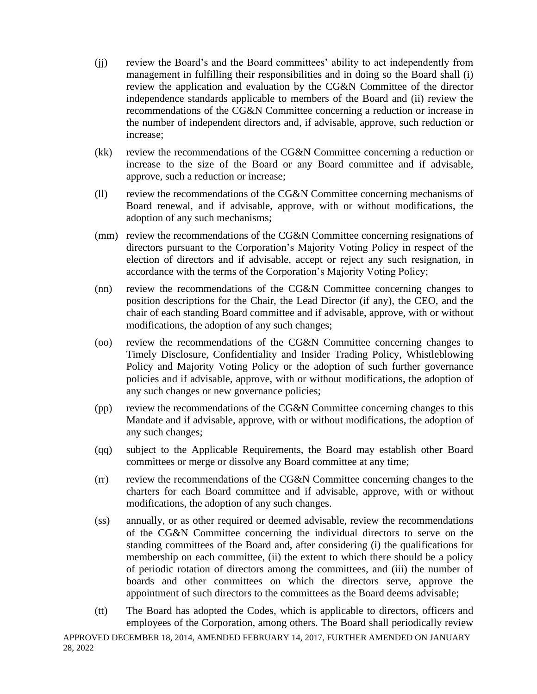- (jj) review the Board's and the Board committees' ability to act independently from management in fulfilling their responsibilities and in doing so the Board shall (i) review the application and evaluation by the CG&N Committee of the director independence standards applicable to members of the Board and (ii) review the recommendations of the CG&N Committee concerning a reduction or increase in the number of independent directors and, if advisable, approve, such reduction or increase;
- (kk) review the recommendations of the CG&N Committee concerning a reduction or increase to the size of the Board or any Board committee and if advisable, approve, such a reduction or increase;
- (ll) review the recommendations of the CG&N Committee concerning mechanisms of Board renewal, and if advisable, approve, with or without modifications, the adoption of any such mechanisms;
- (mm) review the recommendations of the CG&N Committee concerning resignations of directors pursuant to the Corporation's Majority Voting Policy in respect of the election of directors and if advisable, accept or reject any such resignation, in accordance with the terms of the Corporation's Majority Voting Policy;
- (nn) review the recommendations of the CG&N Committee concerning changes to position descriptions for the Chair, the Lead Director (if any), the CEO, and the chair of each standing Board committee and if advisable, approve, with or without modifications, the adoption of any such changes;
- (oo) review the recommendations of the CG&N Committee concerning changes to Timely Disclosure, Confidentiality and Insider Trading Policy, Whistleblowing Policy and Majority Voting Policy or the adoption of such further governance policies and if advisable, approve, with or without modifications, the adoption of any such changes or new governance policies;
- (pp) review the recommendations of the CG&N Committee concerning changes to this Mandate and if advisable, approve, with or without modifications, the adoption of any such changes;
- (qq) subject to the Applicable Requirements, the Board may establish other Board committees or merge or dissolve any Board committee at any time;
- (rr) review the recommendations of the CG&N Committee concerning changes to the charters for each Board committee and if advisable, approve, with or without modifications, the adoption of any such changes.
- (ss) annually, or as other required or deemed advisable, review the recommendations of the CG&N Committee concerning the individual directors to serve on the standing committees of the Board and, after considering (i) the qualifications for membership on each committee, (ii) the extent to which there should be a policy of periodic rotation of directors among the committees, and (iii) the number of boards and other committees on which the directors serve, approve the appointment of such directors to the committees as the Board deems advisable;
- (tt) The Board has adopted the Codes, which is applicable to directors, officers and employees of the Corporation, among others. The Board shall periodically review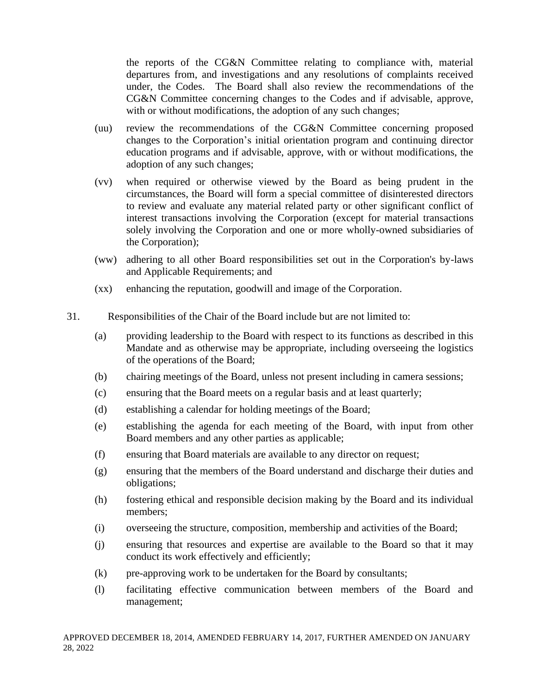the reports of the CG&N Committee relating to compliance with, material departures from, and investigations and any resolutions of complaints received under, the Codes. The Board shall also review the recommendations of the CG&N Committee concerning changes to the Codes and if advisable, approve, with or without modifications, the adoption of any such changes;

- (uu) review the recommendations of the CG&N Committee concerning proposed changes to the Corporation's initial orientation program and continuing director education programs and if advisable, approve, with or without modifications, the adoption of any such changes;
- (vv) when required or otherwise viewed by the Board as being prudent in the circumstances, the Board will form a special committee of disinterested directors to review and evaluate any material related party or other significant conflict of interest transactions involving the Corporation (except for material transactions solely involving the Corporation and one or more wholly-owned subsidiaries of the Corporation);
- (ww) adhering to all other Board responsibilities set out in the Corporation's by-laws and Applicable Requirements; and
- (xx) enhancing the reputation, goodwill and image of the Corporation.
- 31. 29.Responsibilities of the Chair of the Board include but are not limited to:
	- (a) providing leadership to the Board with respect to its functions as described in this Mandate and as otherwise may be appropriate, including overseeing the logistics of the operations of the Board;
	- (b) chairing meetings of the Board, unless not present including in camera sessions;
	- (c) ensuring that the Board meets on a regular basis and at least quarterly;
	- (d) establishing a calendar for holding meetings of the Board;
	- (e) establishing the agenda for each meeting of the Board, with input from other Board members and any other parties as applicable;
	- (f) ensuring that Board materials are available to any director on request;
	- (g) ensuring that the members of the Board understand and discharge their duties and obligations;
	- (h) fostering ethical and responsible decision making by the Board and its individual members;
	- (i) overseeing the structure, composition, membership and activities of the Board;
	- (j) ensuring that resources and expertise are available to the Board so that it may conduct its work effectively and efficiently;
	- (k) pre-approving work to be undertaken for the Board by consultants;
	- (l) facilitating effective communication between members of the Board and management;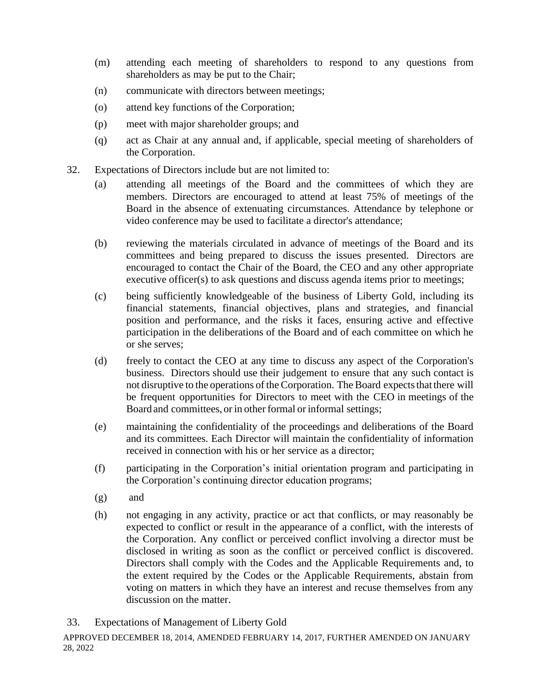- (m) attending each meeting of shareholders to respond to any questions from shareholders as may be put to the Chair;
- (n) communicate with directors between meetings;
- (o) attend key functions of the Corporation;
- (p) meet with major shareholder groups; and
- (q) act as Chair at any annual and, if applicable, special meeting of shareholders of the Corporation.
- 32. Expectations of Directors include but are not limited to:
	- (a) attending all meetings of the Board and the committees of which they are members. Directors are encouraged to attend at least 75% of meetings of the Board in the absence of extenuating circumstances. Attendance by telephone or video conference may be used to facilitate a director's attendance;
	- (b) reviewing the materials circulated in advance of meetings of the Board and its committees and being prepared to discuss the issues presented. Directors are encouraged to contact the Chair of the Board, the CEO and any other appropriate executive officer(s) to ask questions and discuss agenda items prior to meetings;
	- (c) being sufficiently knowledgeable of the business of Liberty Gold, including its financial statements, financial objectives, plans and strategies, and financial position and performance, and the risks it faces, ensuring active and effective participation in the deliberations of the Board and of each committee on which he or she serves;
	- (d) freely to contact the CEO at any time to discuss any aspect of the Corporation's business. Directors should use their judgement to ensure that any such contact is not disruptive to the operations of the Corporation. The Board expects that there will be frequent opportunities for Directors to meet with the CEO in meetings of the Board and committees, or in other formal or informal settings;
	- (e) maintaining the confidentiality of the proceedings and deliberations of the Board and its committees. Each Director will maintain the confidentiality of information received in connection with his or her service as a director;
	- (f) participating in the Corporation's initial orientation program and participating in the Corporation's continuing director education programs;
	- (g) and
	- (h) not engaging in any activity, practice or act that conflicts, or may reasonably be expected to conflict or result in the appearance of a conflict, with the interests of the Corporation. Any conflict or perceived conflict involving a director must be disclosed in writing as soon as the conflict or perceived conflict is discovered. Directors shall comply with the Codes and the Applicable Requirements and, to the extent required by the Codes or the Applicable Requirements, abstain from voting on matters in which they have an interest and recuse themselves from any discussion on the matter.
- 33. Expectations of Management of Liberty Gold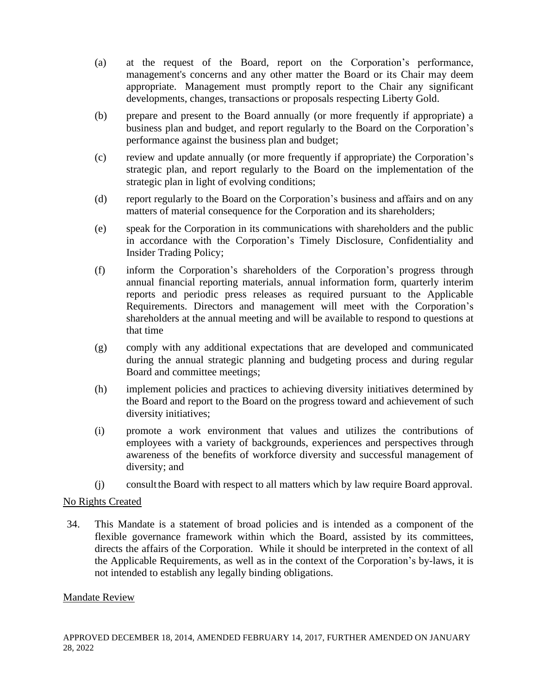- (a) at the request of the Board, report on the Corporation's performance, management's concerns and any other matter the Board or its Chair may deem appropriate. Management must promptly report to the Chair any significant developments, changes, transactions or proposals respecting Liberty Gold.
- (b) prepare and present to the Board annually (or more frequently if appropriate) a business plan and budget, and report regularly to the Board on the Corporation's performance against the business plan and budget;
- (c) review and update annually (or more frequently if appropriate) the Corporation's strategic plan, and report regularly to the Board on the implementation of the strategic plan in light of evolving conditions;
- (d) report regularly to the Board on the Corporation's business and affairs and on any matters of material consequence for the Corporation and its shareholders;
- (e) speak for the Corporation in its communications with shareholders and the public in accordance with the Corporation's Timely Disclosure, Confidentiality and Insider Trading Policy;
- (f) inform the Corporation's shareholders of the Corporation's progress through annual financial reporting materials, annual information form, quarterly interim reports and periodic press releases as required pursuant to the Applicable Requirements. Directors and management will meet with the Corporation's shareholders at the annual meeting and will be available to respond to questions at that time
- (g) comply with any additional expectations that are developed and communicated during the annual strategic planning and budgeting process and during regular Board and committee meetings;
- (h) implement policies and practices to achieving diversity initiatives determined by the Board and report to the Board on the progress toward and achievement of such diversity initiatives;
- (i) promote a work environment that values and utilizes the contributions of employees with a variety of backgrounds, experiences and perspectives through awareness of the benefits of workforce diversity and successful management of diversity; and
- (j) consultthe Board with respect to all matters which by law require Board approval.

### No Rights Created

34. This Mandate is a statement of broad policies and is intended as a component of the flexible governance framework within which the Board, assisted by its committees, directs the affairs of the Corporation. While it should be interpreted in the context of all the Applicable Requirements, as well as in the context of the Corporation's by-laws, it is not intended to establish any legally binding obligations.

### Mandate Review